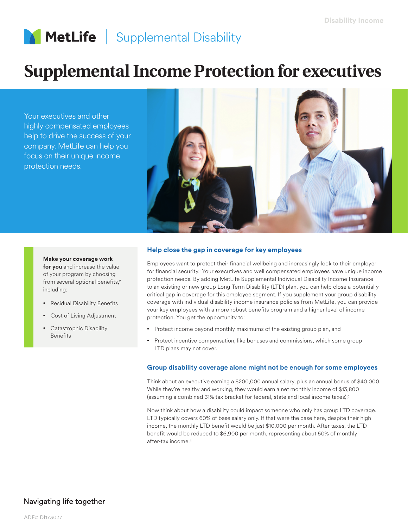# MetLife | Supplemental Disability

# **Supplemental Income Protection for executives**

Your executives and other highly compensated employees help to drive the success of your company. MetLife can help you focus on their unique income protection needs.



## **Help close the gap in coverage for key employees**

**Make your coverage work for you** and increase the value of your program by choosing from several optional benefits,2 including:

- Residual Disability Benefits
- Cost of Living Adjustment
- Catastrophic Disability Benefits

Employees want to protect their financial wellbeing and increasingly look to their employer for financial security.<sup>1</sup> Your executives and well compensated employees have unique income protection needs. By adding MetLife Supplemental Individual Disability Income Insurance to an existing or new group Long Term Disability (LTD) plan, you can help close a potentially critical gap in coverage for this employee segment. If you supplement your group disability coverage with individual disability income insurance policies from MetLife, you can provide your key employees with a more robust benefits program and a higher level of income protection. You get the opportunity to:

- Protect income beyond monthly maximums of the existing group plan, and
- Protect incentive compensation, like bonuses and commissions, which some group LTD plans may not cover.

#### **Group disability coverage alone might not be enough for some employees**

Think about an executive earning a \$200,000 annual salary, plus an annual bonus of \$40,000. While they're healthy and working, they would earn a net monthly income of \$13,800 (assuming a combined 31% tax bracket for federal, state and local income taxes).3

Now think about how a disability could impact someone who only has group LTD coverage. LTD typically covers 60% of base salary only. If that were the case here, despite their high income, the monthly LTD benefit would be just \$10,000 per month. After taxes, the LTD benefit would be reduced to \$6,900 per month, representing about 50% of monthly after-tax income.4

## Navigating life together